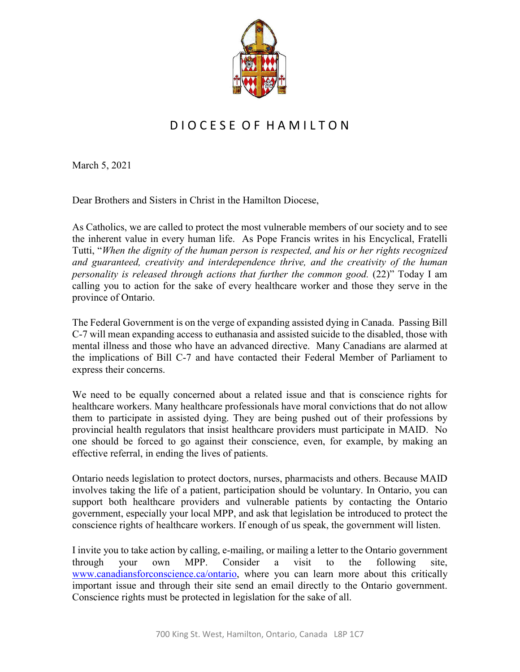

## D I O C E S E O F H A M I L T O N

March 5, 2021

Dear Brothers and Sisters in Christ in the Hamilton Diocese,

As Catholics, we are called to protect the most vulnerable members of our society and to see the inherent value in every human life. As Pope Francis writes in his Encyclical, Fratelli Tutti, "*When the dignity of the human person is respected, and his or her rights recognized and guaranteed, creativity and interdependence thrive, and the creativity of the human personality is released through actions that further the common good.* (22)" Today I am calling you to action for the sake of every healthcare worker and those they serve in the province of Ontario.

The Federal Government is on the verge of expanding assisted dying in Canada. Passing Bill C-7 will mean expanding access to euthanasia and assisted suicide to the disabled, those with mental illness and those who have an advanced directive. Many Canadians are alarmed at the implications of Bill C-7 and have contacted their Federal Member of Parliament to express their concerns.

We need to be equally concerned about a related issue and that is conscience rights for healthcare workers. Many healthcare professionals have moral convictions that do not allow them to participate in assisted dying. They are being pushed out of their professions by provincial health regulators that insist healthcare providers must participate in MAID. No one should be forced to go against their conscience, even, for example, by making an effective referral, in ending the lives of patients.

Ontario needs legislation to protect doctors, nurses, pharmacists and others. Because MAID involves taking the life of a patient, participation should be voluntary. In Ontario, you can support both healthcare providers and vulnerable patients by contacting the Ontario government, especially your local MPP, and ask that legislation be introduced to protect the conscience rights of healthcare workers. If enough of us speak, the government will listen.

I invite you to take action by calling, e-mailing, or mailing a letter to the Ontario government through your own MPP. Consider a visit to the following site, [www.canadiansforconscience.ca/ontario,](http://www.canadiansforconscience.ca/ontario) where you can learn more about this critically important issue and through their site send an email directly to the Ontario government. Conscience rights must be protected in legislation for the sake of all.